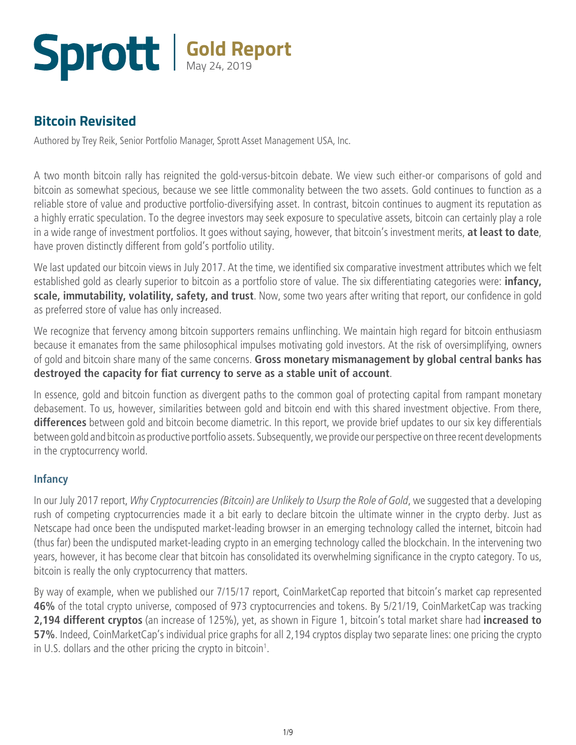### **Gold Report** May 24, 2019

### **Bitcoin Revisited**

Authored by Trey Reik, Senior Portfolio Manager, Sprott Asset Management USA, Inc.

A two month bitcoin rally has reignited the gold-versus-bitcoin debate. We view such either-or comparisons of gold and bitcoin as somewhat specious, because we see little commonality between the two assets. Gold continues to function as a reliable store of value and productive portfolio-diversifying asset. In contrast, bitcoin continues to augment its reputation as a highly erratic speculation. To the degree investors may seek exposure to speculative assets, bitcoin can certainly play a role in a wide range of investment portfolios. It goes without saying, however, that bitcoin's investment merits, **at least to date**, have proven distinctly different from gold's portfolio utility.

We last updated our bitcoin views in July 2017. At the time, we identified six comparative investment attributes which we felt established gold as clearly superior to bitcoin as a portfolio store of value. The six differentiating categories were: **infancy, scale, immutability, volatility, safety, and trust**. Now, some two years after writing that report, our confidence in gold as preferred store of value has only increased.

We recognize that fervency among bitcoin supporters remains unflinching. We maintain high regard for bitcoin enthusiasm because it emanates from the same philosophical impulses motivating gold investors. At the risk of oversimplifying, owners of gold and bitcoin share many of the same concerns. **Gross monetary mismanagement by global central banks has destroyed the capacity for fiat currency to serve as a stable unit of account**.

In essence, gold and bitcoin function as divergent paths to the common goal of protecting capital from rampant monetary debasement. To us, however, similarities between gold and bitcoin end with this shared investment objective. From there, **differences** between gold and bitcoin become diametric. In this report, we provide brief updates to our six key differentials between gold and bitcoin as productive portfolio assets. Subsequently, we provide our perspective on three recent developments in the cryptocurrency world.

### **Infancy**

In our July 2017 report, *[Why Cryptocurrencies \(Bitcoin\) are Unlikely to Usurp the Role of Gold](http://sprott.com/insights/why-cryptocurrencies-bitcoin-are-unlikely-to-usurp-the-role-of-gold/)*, we suggested that a developing rush of competing cryptocurrencies made it a bit early to declare bitcoin the ultimate winner in the crypto derby. Just as Netscape had once been the undisputed market-leading browser in an emerging technology called the internet, bitcoin had (thus far) been the undisputed market-leading crypto in an emerging technology called the blockchain. In the intervening two years, however, it has become clear that bitcoin has consolidated its overwhelming significance in the crypto category. To us, bitcoin is really the only cryptocurrency that matters.

By way of example, when we published our 7/15/17 report, CoinMarketCap reported that bitcoin's market cap represented **46%** of the total crypto universe, composed of 973 cryptocurrencies and tokens. By 5/21/19, CoinMarketCap was tracking **2,194 different cryptos** (an increase of 125%), yet, as shown in Figure 1, bitcoin's total market share had **increased to 57%**. Indeed, CoinMarketCap's individual price graphs for all 2,194 cryptos display two separate lines: one pricing the crypto in U.S. dollars and the other pricing the crypto in bitcoin<sup>1</sup>.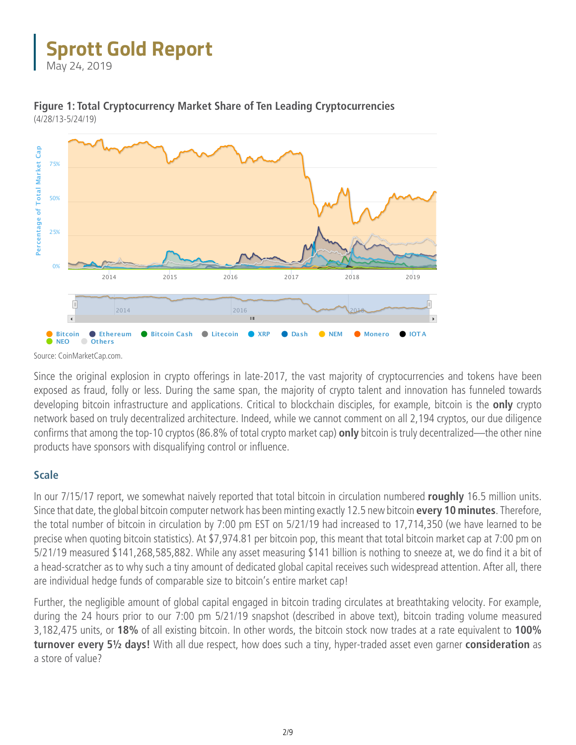May 24, 2019



**Figure 1: Total Cryptocurrency Market Share of Ten Leading Cryptocurrencies**  (4/28/13-5/24/19) Zoom 1d 7d 1m 3m 1y YTD **ALL** From Apr 28, 2013 To May 24, 2019

Source: CoinMarketCap.com.

Since the original explosion in crypto offerings in late-2017, the vast majority of cryptocurrencies and tokens have been exposed as fraud, folly or less. During the same span, the majority of crypto talent and innovation has funneled towards developing bitcoin infrastructure and applications. Critical to blockchain disciples, for example, bitcoin is the **only** crypto network based on truly decentralized architecture. Indeed, while we cannot comment on all 2,194 cryptos, our due diligence confirms that among the top-10 cryptos (86.8% of total crypto market cap) **only** bitcoin is truly decentralized—the other nine products have sponsors with disqualifying control or influence.

#### **Scale**

In our 7/15/17 report, we somewhat naively reported that total bitcoin in circulation numbered **roughly** 16.5 million units. Since that date, the global bitcoin computer network has been minting exactly 12.5 new bitcoin **every 10 minutes**. Therefore, the total number of bitcoin in circulation by 7:00 pm EST on 5/21/19 had increased to 17,714,350 (we have learned to be precise when quoting bitcoin statistics). At \$7,974.81 per bitcoin pop, this meant that total bitcoin market cap at 7:00 pm on 5/21/19 measured \$141,268,585,882. While any asset measuring \$141 billion is nothing to sneeze at, we do find it a bit of a head-scratcher as to why such a tiny amount of dedicated global capital receives such widespread attention. After all, there are individual hedge funds of comparable size to bitcoin's entire market cap!

Further, the negligible amount of global capital engaged in bitcoin trading circulates at breathtaking velocity. For example, during the 24 hours prior to our 7:00 pm 5/21/19 snapshot (described in above text), bitcoin trading volume measured 3,182,475 units, or **18%** of all existing bitcoin. In other words, the bitcoin stock now trades at a rate equivalent to **100% turnover every 5½ days!** With all due respect, how does such a tiny, hyper-traded asset even garner **consideration** as a store of value?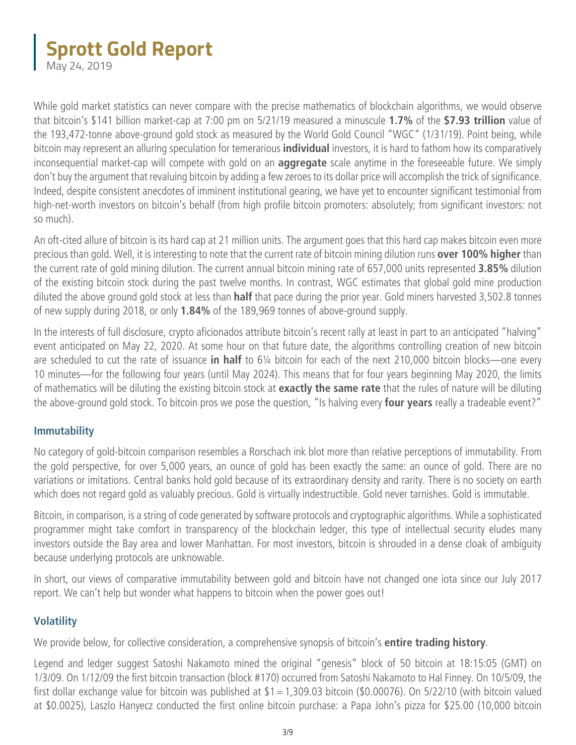May 24, 2019

While gold market statistics can never compare with the precise mathematics of blockchain algorithms, we would observe that bitcoin's \$141 billion market-cap at 7:00 pm on 5/21/19 measured a minuscule **1.7%** of the **\$7.93 trillion** value of the 193,472-tonne above-ground gold stock as measured by the World Gold Council "WGC" (1/31/19). Point being, while bitcoin may represent an alluring speculation for temerarious **individual** investors, it is hard to fathom how its comparatively inconsequential market-cap will compete with gold on an **aggregate** scale anytime in the foreseeable future. We simply don't buy the argument that revaluing bitcoin by adding a few zeroes to its dollar price will accomplish the trick of significance. Indeed, despite consistent anecdotes of imminent institutional gearing, we have yet to encounter significant testimonial from high-net-worth investors on bitcoin's behalf (from high profile bitcoin promoters: absolutely; from significant investors: not so much).

An oft-cited allure of bitcoin is its hard cap at 21 million units. The argument goes that this hard cap makes bitcoin even more precious than gold. Well, it is interesting to note that the current rate of bitcoin mining dilution runs **over 100% higher** than the current rate of gold mining dilution. The current annual bitcoin mining rate of 657,000 units represented **3.85%** dilution of the existing bitcoin stock during the past twelve months. In contrast, WGC estimates that global gold mine production diluted the above ground gold stock at less than **half** that pace during the prior year. Gold miners harvested 3,502.8 tonnes of new supply during 2018, or only **1.84%** of the 189,969 tonnes of above-ground supply.

In the interests of full disclosure, crypto aficionados attribute bitcoin's recent rally at least in part to an anticipated "halving" event anticipated on May 22, 2020. At some hour on that future date, the algorithms controlling creation of new bitcoin are scheduled to cut the rate of issuance **in half** to 6¼ bitcoin for each of the next 210,000 bitcoin blocks—one every 10 minutes—for the following four years (until May 2024). This means that for four years beginning May 2020, the limits of mathematics will be diluting the existing bitcoin stock at **exactly the same rate** that the rules of nature will be diluting the above-ground gold stock. To bitcoin pros we pose the question, "Is halving every **four years** really a tradeable event?"

#### **Immutability**

No category of gold-bitcoin comparison resembles a Rorschach ink blot more than relative perceptions of immutability. From the gold perspective, for over 5,000 years, an ounce of gold has been exactly the same: an ounce of gold. There are no variations or imitations. Central banks hold gold because of its extraordinary density and rarity. There is no society on earth which does not regard gold as valuably precious. Gold is virtually indestructible. Gold never tarnishes. Gold is immutable.

Bitcoin, in comparison, is a string of code generated by software protocols and cryptographic algorithms. While a sophisticated programmer might take comfort in transparency of the blockchain ledger, this type of intellectual security eludes many investors outside the Bay area and lower Manhattan. For most investors, bitcoin is shrouded in a dense cloak of ambiguity because underlying protocols are unknowable.

In short, our views of comparative immutability between gold and bitcoin have not changed one iota since our July 2017 report. We can't help but wonder what happens to bitcoin when the power goes out!

#### **Volatility**

We provide below, for collective consideration, a comprehensive synopsis of bitcoin's **entire trading history**.

Legend and ledger suggest Satoshi Nakamoto mined the original "genesis" block of 50 bitcoin at 18:15:05 (GMT) on 1/3/09. On 1/12/09 the first bitcoin transaction (block #170) occurred from Satoshi Nakamoto to Hal Finney. On 10/5/09, the first dollar exchange value for bitcoin was published at  $$1=1,309.03$  bitcoin (\$0.00076). On 5/22/10 (with bitcoin valued at \$0.0025), Laszlo Hanyecz conducted the first online bitcoin purchase: a Papa John's pizza for \$25.00 (10,000 bitcoin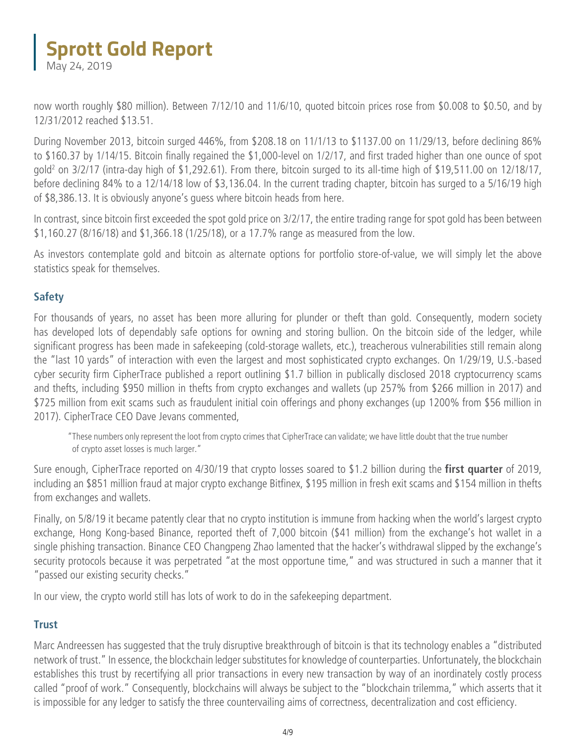May 24, 2019

now worth roughly \$80 million). Between 7/12/10 and 11/6/10, quoted bitcoin prices rose from \$0.008 to \$0.50, and by 12/31/2012 reached \$13.51.

During November 2013, bitcoin surged 446%, from \$208.18 on 11/1/13 to \$1137.00 on 11/29/13, before declining 86% to \$160.37 by 1/14/15. Bitcoin finally regained the \$1,000-level on 1/2/17, and first traded higher than one ounce of spot gold2 on 3/2/17 (intra-day high of \$1,292.61). From there, bitcoin surged to its all-time high of \$19,511.00 on 12/18/17, before declining 84% to a 12/14/18 low of \$3,136.04. In the current trading chapter, bitcoin has surged to a 5/16/19 high of \$8,386.13. It is obviously anyone's guess where bitcoin heads from here.

In contrast, since bitcoin first exceeded the spot gold price on 3/2/17, the entire trading range for spot gold has been between \$1,160.27 (8/16/18) and \$1,366.18 (1/25/18), or a 17.7% range as measured from the low.

As investors contemplate gold and bitcoin as alternate options for portfolio store-of-value, we will simply let the above statistics speak for themselves.

### **Safety**

For thousands of years, no asset has been more alluring for plunder or theft than gold. Consequently, modern society has developed lots of dependably safe options for owning and storing bullion. On the bitcoin side of the ledger, while significant progress has been made in safekeeping (cold-storage wallets, etc.), treacherous vulnerabilities still remain along the "last 10 yards" of interaction with even the largest and most sophisticated crypto exchanges. On 1/29/19, U.S.-based cyber security firm CipherTrace published a report outlining \$1.7 billion in publically disclosed 2018 cryptocurrency scams and thefts, including \$950 million in thefts from crypto exchanges and wallets (up 257% from \$266 million in 2017) and \$725 million from exit scams such as fraudulent initial coin offerings and phony exchanges (up 1200% from \$56 million in 2017). CipherTrace CEO Dave Jevans commented,

"These numbers only represent the loot from crypto crimes that CipherTrace can validate; we have little doubt that the true number of crypto asset losses is much larger."

Sure enough, CipherTrace reported on 4/30/19 that crypto losses soared to \$1.2 billion during the **first quarter** of 2019, including an \$851 million fraud at major crypto exchange Bitfinex, \$195 million in fresh exit scams and \$154 million in thefts from exchanges and wallets.

Finally, on 5/8/19 it became patently clear that no crypto institution is immune from hacking when the world's largest crypto exchange, Hong Kong-based Binance, reported theft of 7,000 bitcoin (\$41 million) from the exchange's hot wallet in a single phishing transaction. Binance CEO Changpeng Zhao lamented that the hacker's withdrawal slipped by the exchange's security protocols because it was perpetrated "at the most opportune time," and was structured in such a manner that it "passed our existing security checks."

In our view, the crypto world still has lots of work to do in the safekeeping department.

#### **Trust**

Marc Andreessen has suggested that the truly disruptive breakthrough of bitcoin is that its technology enables a "distributed network of trust." In essence, the blockchain ledger substitutes for knowledge of counterparties. Unfortunately, the blockchain establishes this trust by recertifying all prior transactions in every new transaction by way of an inordinately costly process called "proof of work." Consequently, blockchains will always be subject to the "blockchain trilemma," which asserts that it is impossible for any ledger to satisfy the three countervailing aims of correctness, decentralization and cost efficiency.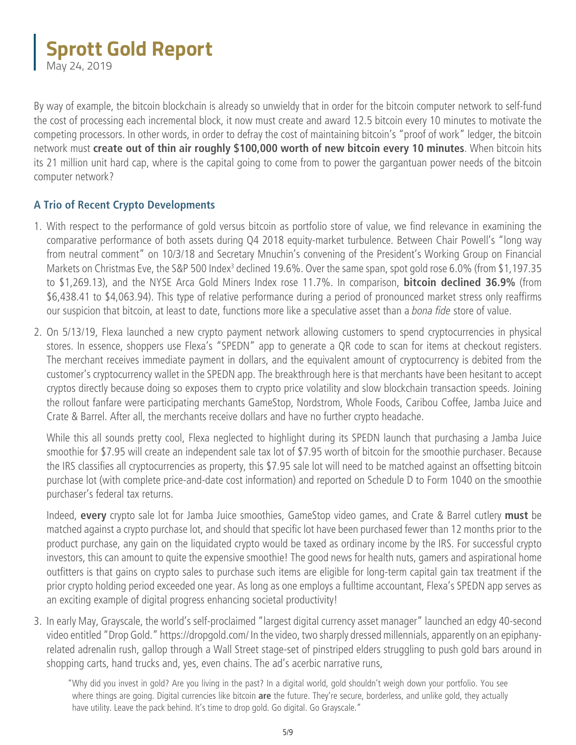May 24, 2019

By way of example, the bitcoin blockchain is already so unwieldy that in order for the bitcoin computer network to self-fund the cost of processing each incremental block, it now must create and award 12.5 bitcoin every 10 minutes to motivate the competing processors. In other words, in order to defray the cost of maintaining bitcoin's "proof of work" ledger, the bitcoin network must **create out of thin air roughly \$100,000 worth of new bitcoin every 10 minutes**. When bitcoin hits its 21 million unit hard cap, where is the capital going to come from to power the gargantuan power needs of the bitcoin computer network?

#### **A Trio of Recent Crypto Developments**

- 1. With respect to the performance of gold versus bitcoin as portfolio store of value, we find relevance in examining the comparative performance of both assets during Q4 2018 equity-market turbulence. Between Chair Powell's "long way from neutral comment" on 10/3/18 and Secretary Mnuchin's convening of the President's Working Group on Financial Markets on Christmas Eve, the S&P 500 Index<sup>3</sup> declined 19.6%. Over the same span, spot gold rose 6.0% (from \$1,197.35 to \$1,269.13), and the NYSE Arca Gold Miners Index rose 11.7%. In comparison, **bitcoin declined 36.9%** (from \$6,438.41 to \$4,063.94). This type of relative performance during a period of pronounced market stress only reaffirms our suspicion that bitcoin, at least to date, functions more like a speculative asset than a *bona fide* store of value.
- 2. On 5/13/19, Flexa launched a new crypto payment network allowing customers to spend cryptocurrencies in physical stores. In essence, shoppers use Flexa's "SPEDN" app to generate a QR code to scan for items at checkout registers. The merchant receives immediate payment in dollars, and the equivalent amount of cryptocurrency is debited from the customer's cryptocurrency wallet in the SPEDN app. The breakthrough here is that merchants have been hesitant to accept cryptos directly because doing so exposes them to crypto price volatility and slow blockchain transaction speeds. Joining the rollout fanfare were participating merchants GameStop, Nordstrom, Whole Foods, Caribou Coffee, Jamba Juice and Crate & Barrel. After all, the merchants receive dollars and have no further crypto headache.

While this all sounds pretty cool, Flexa neglected to highlight during its SPEDN launch that purchasing a Jamba Juice smoothie for \$7.95 will create an independent sale tax lot of \$7.95 worth of bitcoin for the smoothie purchaser. Because the IRS classifies all cryptocurrencies as property, this \$7.95 sale lot will need to be matched against an offsetting bitcoin purchase lot (with complete price-and-date cost information) and reported on Schedule D to Form 1040 on the smoothie purchaser's federal tax returns.

Indeed, **every** crypto sale lot for Jamba Juice smoothies, GameStop video games, and Crate & Barrel cutlery **must** be matched against a crypto purchase lot, and should that specific lot have been purchased fewer than 12 months prior to the product purchase, any gain on the liquidated crypto would be taxed as ordinary income by the IRS. For successful crypto investors, this can amount to quite the expensive smoothie! The good news for health nuts, gamers and aspirational home outfitters is that gains on crypto sales to purchase such items are eligible for long-term capital gain tax treatment if the prior crypto holding period exceeded one year. As long as one employs a fulltime accountant, Flexa's SPEDN app serves as an exciting example of digital progress enhancing societal productivity!

3. In early May, Grayscale, the world's self-proclaimed "largest digital currency asset manager" launched an edgy 40-second video entitled ["Drop Gold." https://dropgold.com/](https://dropgold.com/) In the video, two sharply dressed millennials, apparently on an epiphanyrelated adrenalin rush, gallop through a Wall Street stage-set of pinstriped elders struggling to push gold bars around in shopping carts, hand trucks and, yes, even chains. The ad's acerbic narrative runs,

"Why did you invest in gold? Are you living in the past? In a digital world, gold shouldn't weigh down your portfolio. You see where things are going. Digital currencies like bitcoin **are** the future. They're secure, borderless, and unlike gold, they actually have utility. Leave the pack behind. It's time to drop gold. Go digital. Go Grayscale."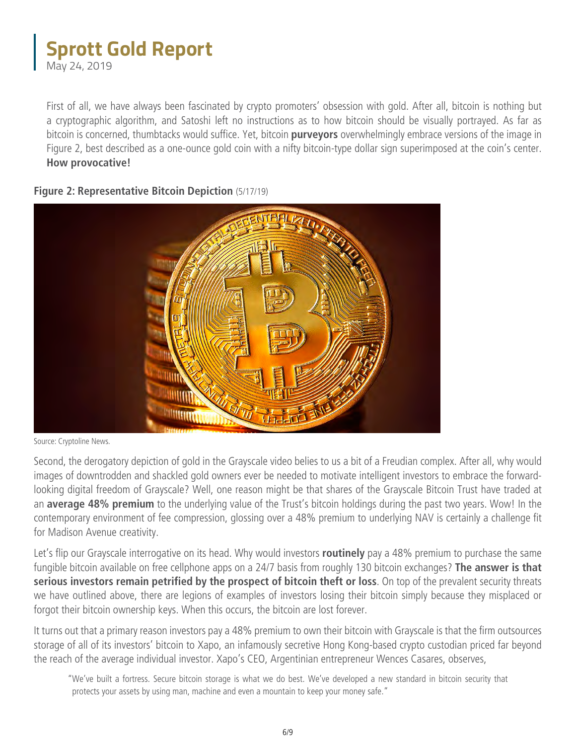May 24, 2019

 First of all, we have always been fascinated by crypto promoters' obsession with gold. After all, bitcoin is nothing but a cryptographic algorithm, and Satoshi left no instructions as to how bitcoin should be visually portrayed. As far as bitcoin is concerned, thumbtacks would suffice. Yet, bitcoin **purveyors** overwhelmingly embrace versions of the image in Figure 2, best described as a one-ounce gold coin with a nifty bitcoin-type dollar sign superimposed at the coin's center. **How provocative!**



#### **Figure 2: Representative Bitcoin Depiction** (5/17/19)

Second, the derogatory depiction of gold in the Grayscale video belies to us a bit of a Freudian complex. After all, why would images of downtrodden and shackled gold owners ever be needed to motivate intelligent investors to embrace the forwardlooking digital freedom of Grayscale? Well, one reason might be that shares of the Grayscale Bitcoin Trust have traded at an **average 48% premium** to the underlying value of the Trust's bitcoin holdings during the past two years. Wow! In the contemporary environment of fee compression, glossing over a 48% premium to underlying NAV is certainly a challenge fit for Madison Avenue creativity.

Let's flip our Grayscale interrogative on its head. Why would investors **routinely** pay a 48% premium to purchase the same fungible bitcoin available on free cellphone apps on a 24/7 basis from roughly 130 bitcoin exchanges? **The answer is that serious investors remain petrified by the prospect of bitcoin theft or loss**. On top of the prevalent security threats we have outlined above, there are legions of examples of investors losing their bitcoin simply because they misplaced or forgot their bitcoin ownership keys. When this occurs, the bitcoin are lost forever.

It turns out that a primary reason investors pay a 48% premium to own their bitcoin with Grayscale is that the firm outsources storage of all of its investors' bitcoin to Xapo, an infamously secretive Hong Kong-based crypto custodian priced far beyond the reach of the average individual investor. Xapo's CEO, Argentinian entrepreneur Wences Casares, observes,

"We've built a fortress. Secure bitcoin storage is what we do best. We've developed a new standard in bitcoin security that protects your assets by using man, machine and even a mountain to keep your money safe."

Source: Cryptoline News.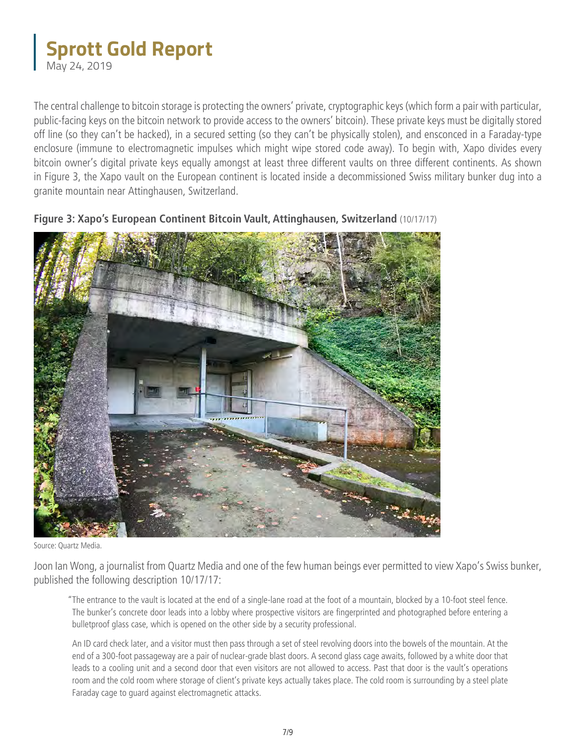### **Sprott Gold Report** May 24, 2019

The central challenge to bitcoin storage is protecting the owners' private, cryptographic keys (which form a pair with particular, public-facing keys on the bitcoin network to provide access to the owners' bitcoin). These private keys must be digitally stored off line (so they can't be hacked), in a secured setting (so they can't be physically stolen), and ensconced in a Faraday-type enclosure (immune to electromagnetic impulses which might wipe stored code away). To begin with, Xapo divides every bitcoin owner's digital private keys equally amongst at least three different vaults on three different continents. As shown in Figure 3, the Xapo vault on the European continent is located inside a decommissioned Swiss military bunker dug into a granite mountain near Attinghausen, Switzerland.



**Figure 3: Xapo's European Continent Bitcoin Vault, Attinghausen, Switzerland** (10/17/17)

Joon Ian Wong, a journalist from Quartz Media and one of the few human beings ever permitted to view Xapo's Swiss bunker, published the following description 10/17/17:

"The entrance to the vault is located at the end of a single-lane road at the foot of a mountain, blocked by a 10-foot steel fence. The bunker's concrete door leads into a lobby where prospective visitors are fingerprinted and photographed before entering a bulletproof glass case, which is opened on the other side by a security professional.

An ID card check later, and a visitor must then pass through a set of steel revolving doors into the bowels of the mountain. At the end of a 300-foot passageway are a pair of nuclear-grade blast doors. A second glass cage awaits, followed by a white door that leads to a cooling unit and a second door that even visitors are not allowed to access. Past that door is the vault's operations room and the cold room where storage of client's private keys actually takes place. The cold room is surrounding by a steel plate Faraday cage to guard against electromagnetic attacks.

Source: Quartz Media.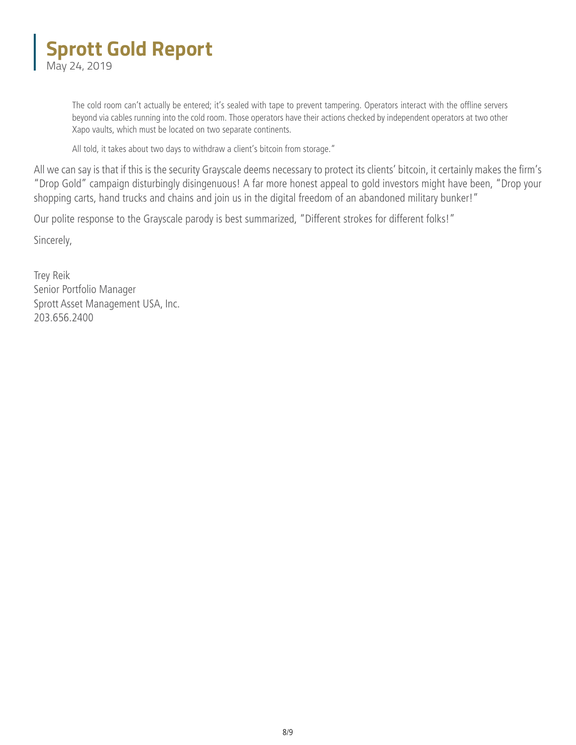### **Sprott Gold Report** May 24, 2019

The cold room can't actually be entered; it's sealed with tape to prevent tampering. Operators interact with the offline servers beyond via cables running into the cold room. Those operators have their actions checked by independent operators at two other Xapo vaults, which must be located on two separate continents.

All told, it takes about two days to withdraw a client's bitcoin from storage."

All we can say is that if this is the security Grayscale deems necessary to protect its clients' bitcoin, it certainly makes the firm's "Drop Gold" campaign disturbingly disingenuous! A far more honest appeal to gold investors might have been, "Drop your shopping carts, hand trucks and chains and join us in the digital freedom of an abandoned military bunker!"

Our polite response to the Grayscale parody is best summarized, "Different strokes for different folks!"

Sincerely,

Trey Reik Senior Portfolio Manager Sprott Asset Management USA, Inc. 203.656.2400